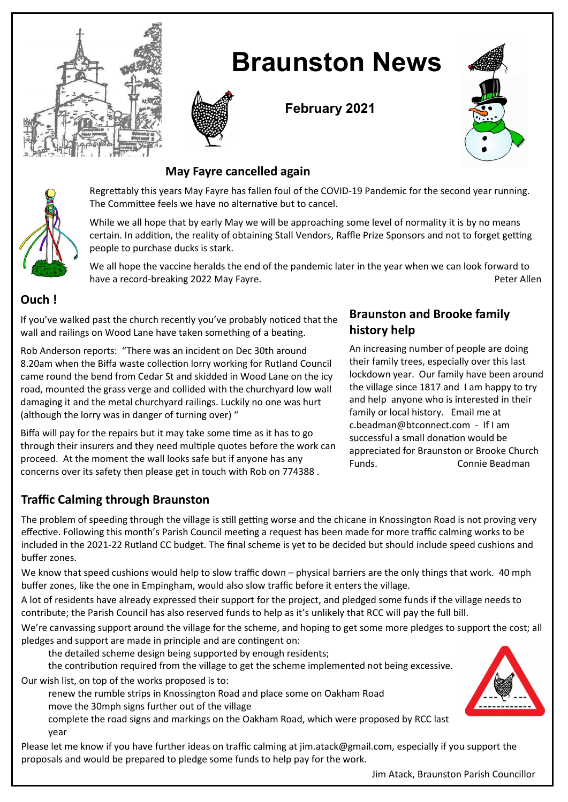

# **Braunston News**



**February 2021**



## **May Fayre cancelled again**



Regrettably this years May Fayre has fallen foul of the COVID-19 Pandemic for the second year running. The Committee feels we have no alternative but to cancel.

While we all hope that by early May we will be approaching some level of normality it is by no means certain. In addition, the reality of obtaining Stall Vendors, Raffle Prize Sponsors and not to forget getting people to purchase ducks is stark.

We all hope the vaccine heralds the end of the pandemic later in the year when we can look forward to have a record-breaking 2022 May Fayre. Peter Allen and the state of the state of the Peter Allen

## **Ouch !**

If you've walked past the church recently you've probably noticed that the wall and railings on Wood Lane have taken something of a beating.

Rob Anderson reports: "There was an incident on Dec 30th around 8.20am when the Biffa waste collection lorry working for Rutland Council came round the bend from Cedar St and skidded in Wood Lane on the icy road, mounted the grass verge and collided with the churchyard low wall damaging it and the metal churchyard railings. Luckily no one was hurt (although the lorry was in danger of turning over) "

Biffa will pay for the repairs but it may take some time as it has to go through their insurers and they need multiple quotes before the work can proceed. At the moment the wall looks safe but if anyone has any concerns over its safety then please get in touch with Rob on 774388 .

# **Braunston and Brooke family history help**

An increasing number of people are doing their family trees, especially over this last lockdown year. Our family have been around the village since 1817 and I am happy to try and help anyone who is interested in their family or local history. Email me at c.beadman@btconnect.com - If I am successful a small donation would be appreciated for Braunston or Brooke Church Funds. Connie Beadman

# **Traffic Calming through Braunston**

The problem of speeding through the village is still getting worse and the chicane in Knossington Road is not proving very effective. Following this month's Parish Council meeting a request has been made for more traffic calming works to be included in the 2021-22 Rutland CC budget. The final scheme is yet to be decided but should include speed cushions and buffer zones.

We know that speed cushions would help to slow traffic down – physical barriers are the only things that work. 40 mph buffer zones, like the one in Empingham, would also slow traffic before it enters the village.

A lot of residents have already expressed their support for the project, and pledged some funds if the village needs to contribute; the Parish Council has also reserved funds to help as it's unlikely that RCC will pay the full bill.

We're canvassing support around the village for the scheme, and hoping to get some more pledges to support the cost; all pledges and support are made in principle and are contingent on:

the detailed scheme design being supported by enough residents;

the contribution required from the village to get the scheme implemented not being excessive.

Our wish list, on top of the works proposed is to:

renew the rumble strips in Knossington Road and place some on Oakham Road move the 30mph signs further out of the village

complete the road signs and markings on the Oakham Road, which were proposed by RCC last year

Please let me know if you have further ideas on traffic calming at jim.atack@gmail.com, especially if you support the proposals and would be prepared to pledge some funds to help pay for the work.



Jim Atack, Braunston Parish Councillor